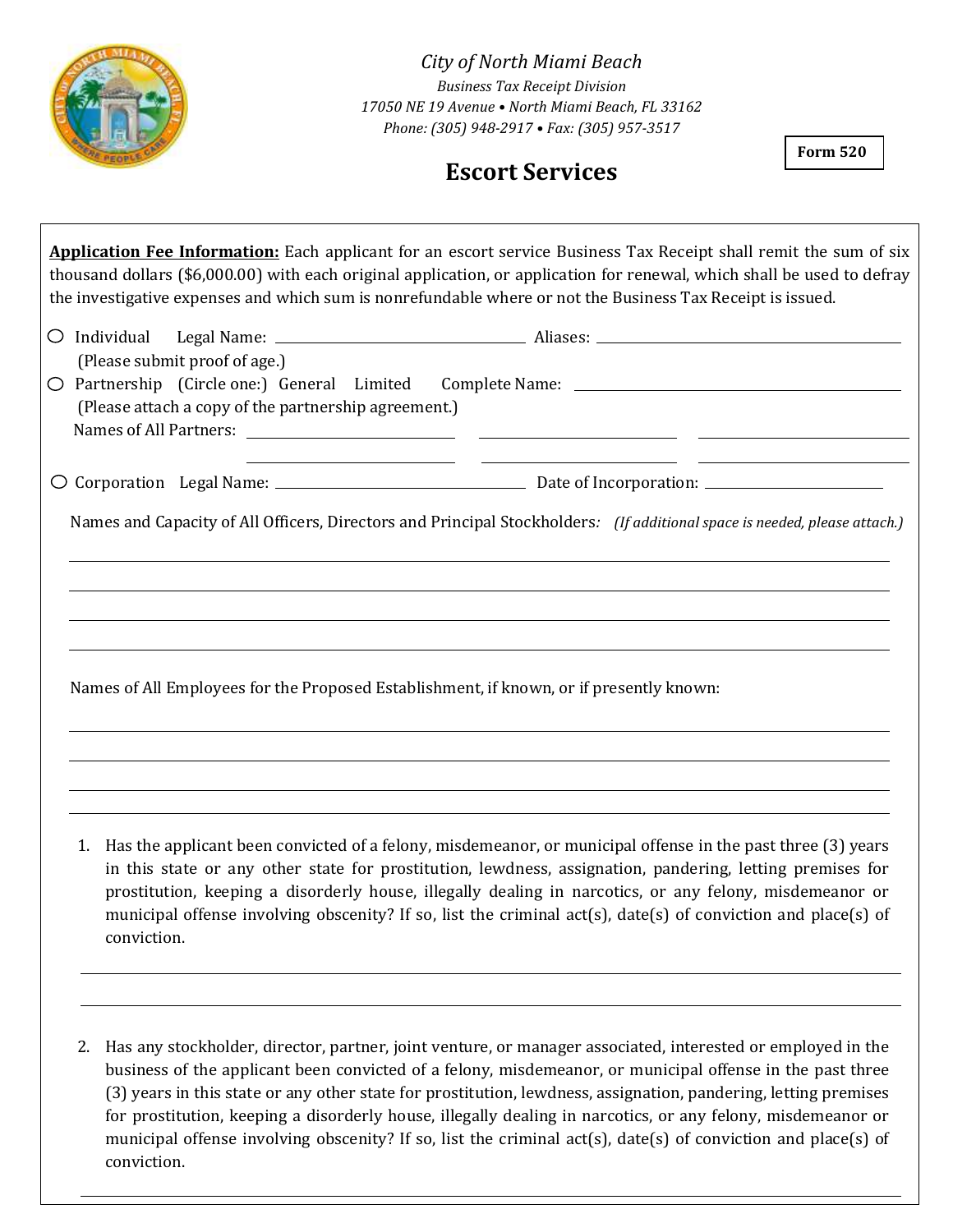

*City of North Miami Beach Business Tax Receipt Division 17050 NE 19 Avenue • North Miami Beach, FL 33162 Phone: (305) 948-2917 • Fax: (305) 957-3517*

## **Escort Services**

**Form 520**

**Application Fee Information:** Each applicant for an escort service Business Tax Receipt shall remit the sum of six thousand dollars (\$6,000.00) with each original application, or application for renewal, which shall be used to defray the investigative expenses and which sum is nonrefundable where or not the Business Tax Receipt is issued.

|  | (Please submit proof of age.)                                                                                                                                                                                                                                                                                                                                                                                                                                          |  |  |  |  |
|--|------------------------------------------------------------------------------------------------------------------------------------------------------------------------------------------------------------------------------------------------------------------------------------------------------------------------------------------------------------------------------------------------------------------------------------------------------------------------|--|--|--|--|
|  | (Please attach a copy of the partnership agreement.)<br><u> 1989 - Andrea Santa Alemania, amerikana amerikana amerikana amerikana amerikana amerikana amerikana amerikana</u>                                                                                                                                                                                                                                                                                          |  |  |  |  |
|  |                                                                                                                                                                                                                                                                                                                                                                                                                                                                        |  |  |  |  |
|  | Names and Capacity of All Officers, Directors and Principal Stockholders: (If additional space is needed, please attach.)                                                                                                                                                                                                                                                                                                                                              |  |  |  |  |
|  | Names of All Employees for the Proposed Establishment, if known, or if presently known:                                                                                                                                                                                                                                                                                                                                                                                |  |  |  |  |
|  | 1. Has the applicant been convicted of a felony, misdemeanor, or municipal offense in the past three (3) years<br>in this state or any other state for prostitution, lewdness, assignation, pandering, letting premises for<br>prostitution, keeping a disorderly house, illegally dealing in narcotics, or any felony, misdemeanor or<br>municipal offense involving obscenity? If so, list the criminal act(s), date(s) of conviction and place(s) of<br>conviction. |  |  |  |  |

2. Has any stockholder, director, partner, joint venture, or manager associated, interested or employed in the business of the applicant been convicted of a felony, misdemeanor, or municipal offense in the past three (3) years in this state or any other state for prostitution, lewdness, assignation, pandering, letting premises for prostitution, keeping a disorderly house, illegally dealing in narcotics, or any felony, misdemeanor or municipal offense involving obscenity? If so, list the criminal act(s), date(s) of conviction and place(s) of conviction.